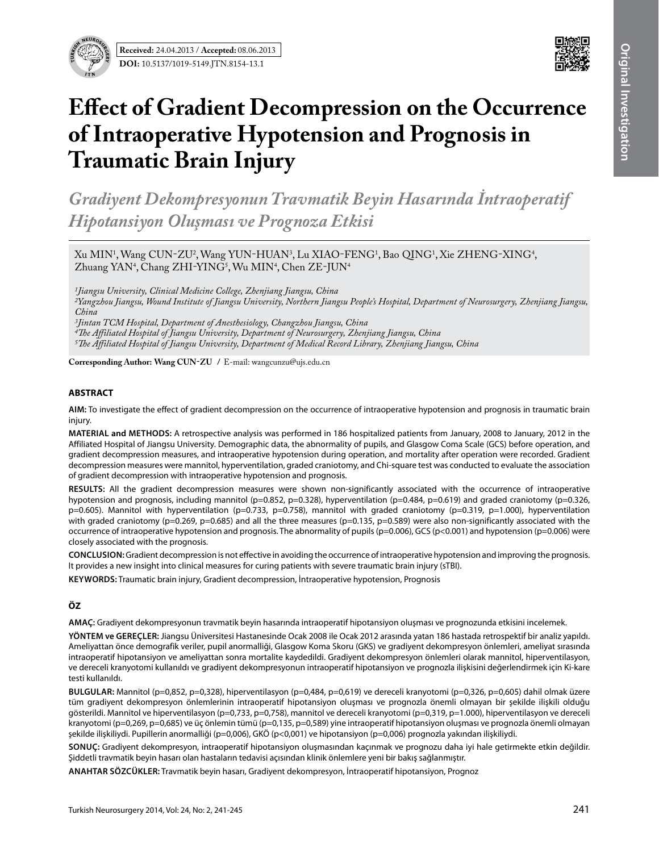

# **Effect of Gradient Decompression on the Occurrence of Intraoperative Hypotension and Prognosis in Traumatic Brain Injury**

*Gradiyent Dekompresyonun Travmatik Beyin Hasarında İntraoperatif Hipotansiyon Oluşması ve Prognoza Etkisi*

Xu MIN<sup>1</sup>, Wang CUN-ZU<sup>2</sup>, Wang YUN-HUAN<sup>3</sup>, Lu XIAO-FENG<sup>1</sup>, Bao QING<sup>1</sup>, Xie ZHENG-XING<sup>4</sup>, Zhuang YAN<sup>4</sup>, Chang ZHI-YING<sup>5</sup>, Wu MIN<sup>4</sup>, Chen ZE-JUN<sup>4</sup>

*1Jiangsu University, Clinical Medicine College, Zhenjiang Jiangsu, China*

*2Yangzhou Jiangsu, Wound Institute of Jiangsu University, Northern Jiangsu People's Hospital, Department of Neurosurgery, Zhenjiang Jiangsu, China*

*3Jintan TCM Hospital, Department of Anesthesiology, Changzhou Jiangsu, China*

*4The Affiliated Hospital of Jiangsu University, Department of Neurosurgery, Zhenjiang Jiangsu, China 5The Affiliated Hospital of Jiangsu University, Department of Medical Record Library, Zhenjiang Jiangsu, China*

**Corresponding Author: Wang Cun-zu /** E-mail: wangcunzu@ujs.edu.cn

## **ABSTRACT**

**AIm:** To investigate the effect of gradient decompression on the occurrence of intraoperative hypotension and prognosis in traumatic brain injury.

**MaterIal and Methods:** A retrospective analysis was performed in 186 hospitalized patients from January, 2008 to January, 2012 in the Affiliated Hospital of Jiangsu University. Demographic data, the abnormality of pupils, and Glasgow Coma Scale (GCS) before operation, and gradient decompression measures, and intraoperative hypotension during operation, and mortality after operation were recorded. Gradient decompression measures were mannitol, hyperventilation, graded craniotomy, and Chi-square test was conducted to evaluate the association of gradient decompression with intraoperative hypotension and prognosis.

**Results:** All the gradient decompression measures were shown non-significantly associated with the occurrence of intraoperative hypotension and prognosis, including mannitol (p=0.852, p=0.328), hyperventilation (p=0.484, p=0.619) and graded craniotomy (p=0.326, p=0.605). Mannitol with hyperventilation (p=0.733, p=0.758), mannitol with graded craniotomy (p=0.319, p=1.000), hyperventilation with graded craniotomy ( $p=0.269$ ,  $p=0.685$ ) and all the three measures ( $p=0.135$ ,  $p=0.589$ ) were also non-significantly associated with the occurrence of intraoperative hypotension and prognosis. The abnormality of pupils (p=0.006), GCS (p﹤0.001) and hypotension (p=0.006) were closely associated with the prognosis.

**ConclusIon:** Gradient decompression is not effective in avoiding the occurrence of intraoperative hypotension and improving the prognosis. It provides a new insight into clinical measures for curing patients with severe traumatic brain injury (sTBI).

**Keywords:** Traumatic brain injury, Gradient decompression, İntraoperative hypotension, Prognosis

## **ÖZ**

**AMAÇ:** Gradiyent dekompresyonun travmatik beyin hasarında intraoperatif hipotansiyon oluşması ve prognozunda etkisini incelemek.

**YÖNTEM ve GEREÇLER:** Jiangsu Üniversitesi Hastanesinde Ocak 2008 ile Ocak 2012 arasında yatan 186 hastada retrospektif bir analiz yapıldı. Ameliyattan önce demografik veriler, pupil anormalliği, Glasgow Koma Skoru (GKS) ve gradiyent dekompresyon önlemleri, ameliyat sırasında intraoperatif hipotansiyon ve ameliyattan sonra mortalite kaydedildi. Gradiyent dekompresyon önlemleri olarak mannitol, hiperventilasyon, ve dereceli kranyotomi kullanıldı ve gradiyent dekompresyonun intraoperatif hipotansiyon ve prognozla ilişkisini değerlendirmek için Ki-kare testi kullanıldı.

**BULGULAR:** Mannitol (p=0,852, p=0,328), hiperventilasyon (p=0,484, p=0,619) ve dereceli kranyotomi (p=0,326, p=0,605) dahil olmak üzere tüm gradiyent dekompresyon önlemlerinin intraoperatif hipotansiyon oluşması ve prognozla önemli olmayan bir şekilde ilişkili olduğu gösterildi. Mannitol ve hiperventilasyon (p=0,733, p=0,758), mannitol ve dereceli kranyotomi (p=0,319, p=1.000), hiperventilasyon ve dereceli kranyotomi (p=0,269, p=0,685) ve üç önlemin tümü (p=0,135, p=0,589) yine intraoperatif hipotansiyon oluşması ve prognozla önemli olmayan şekilde ilişkiliydi. Pupillerin anormalliği (p=0,006), GKÖ (p﹤0,001) ve hipotansiyon (p=0,006) prognozla yakından ilişkiliydi.

**SONUÇ:** Gradiyent dekompresyon, intraoperatif hipotansiyon oluşmasından kaçınmak ve prognozu daha iyi hale getirmekte etkin değildir. Şiddetli travmatik beyin hasarı olan hastaların tedavisi açısından klinik önlemlere yeni bir bakış sağlanmıştır.

**ANAHTAR SÖZCÜKLER:** travmatik beyin hasarı, Gradiyent dekompresyon, İntraoperatif hipotansiyon, Prognoz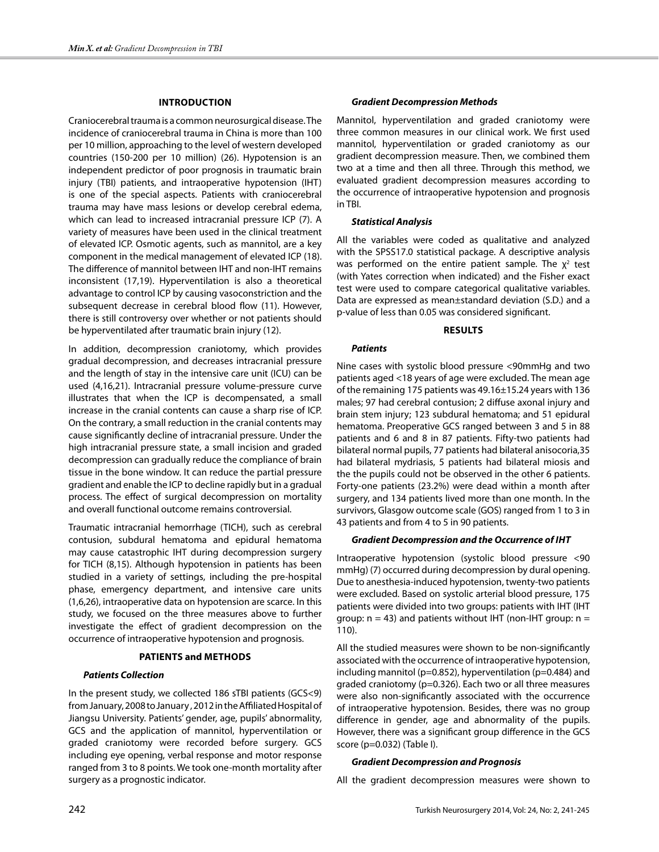## **Introduction**

Craniocerebral trauma is a common neurosurgical disease. The incidence of craniocerebral trauma in China is more than 100 per 10 million, approaching to the level of western developed countries (150-200 per 10 million) (26). Hypotension is an independent predictor of poor prognosis in traumatic brain injury (TBI) patients, and intraoperative hypotension (IHT) is one of the special aspects. Patients with craniocerebral trauma may have mass lesions or develop cerebral edema, which can lead to increased intracranial pressure ICP (7). A variety of measures have been used in the clinical treatment of elevated ICP. Osmotic agents, such as mannitol, are a key component in the medical management of elevated ICP (18). The difference of mannitol between IHT and non-IHT remains inconsistent (17,19). Hyperventilation is also a theoretical advantage to control ICP by causing vasoconstriction and the subsequent decrease in cerebral blood flow (11). However, there is still controversy over whether or not patients should be hyperventilated after traumatic brain injury (12).

In addition, decompression craniotomy, which provides gradual decompression, and decreases intracranial pressure and the length of stay in the intensive care unit (ICU) can be used (4,16,21). Intracranial pressure volume-pressure curve illustrates that when the ICP is decompensated, a small increase in the cranial contents can cause a sharp rise of ICP. On the contrary, a small reduction in the cranial contents may cause significantly decline of intracranial pressure. Under the high intracranial pressure state, a small incision and graded decompression can gradually reduce the compliance of brain tissue in the bone window. It can reduce the partial pressure gradient and enable the ICP to decline rapidly but in a gradual process. The effect of surgical decompression on mortality and overall functional outcome remains controversial.

Traumatic intracranial hemorrhage (TICH), such as cerebral contusion, subdural hematoma and epidural hematoma may cause catastrophic IHT during decompression surgery for TICH (8,15). Although hypotension in patients has been studied in a variety of settings, including the pre-hospital phase, emergency department, and intensive care units (1,6,26), intraoperative data on hypotension are scarce. In this study, we focused on the three measures above to further investigate the effect of gradient decompression on the occurrence of intraoperative hypotension and prognosis.

## **Patients and Methods**

#### *Patients Collection*

In the present study, we collected 186 sTBI patients (GCS<9) from January, 2008 to January , 2012 in the Affiliated Hospital of Jiangsu University. Patients' gender, age, pupils' abnormality, GCS and the application of mannitol, hyperventilation or graded craniotomy were recorded before surgery. GCS including eye opening, verbal response and motor response ranged from 3 to 8 points. We took one-month mortality after surgery as a prognostic indicator.

#### *Gradient Decompression Methods*

Mannitol, hyperventilation and graded craniotomy were three common measures in our clinical work. We first used mannitol, hyperventilation or graded craniotomy as our gradient decompression measure. Then, we combined them two at a time and then all three. Through this method, we evaluated gradient decompression measures according to the occurrence of intraoperative hypotension and prognosis in TBI.

#### *Statistical Analysis*

All the variables were coded as qualitative and analyzed with the SPSS17.0 statistical package. A descriptive analysis was performed on the entire patient sample. The  $\chi^2$  test (with Yates correction when indicated) and the Fisher exact test were used to compare categorical qualitative variables. Data are expressed as mean±standard deviation (S.D.) and a p-value of less than 0.05 was considered significant.

#### **Results**

#### *Patients*

Nine cases with systolic blood pressure <90mmHg and two patients aged <18 years of age were excluded. The mean age of the remaining 175 patients was 49.16±15.24 years with 136 males; 97 had cerebral contusion; 2 diffuse axonal injury and brain stem injury; 123 subdural hematoma; and 51 epidural hematoma. Preoperative GCS ranged between 3 and 5 in 88 patients and 6 and 8 in 87 patients. Fifty-two patients had bilateral normal pupils, 77 patients had bilateral anisocoria,35 had bilateral mydriasis, 5 patients had bilateral miosis and the the pupils could not be observed in the other 6 patients. Forty-one patients (23.2%) were dead within a month after surgery, and 134 patients lived more than one month. In the survivors, Glasgow outcome scale (GOS) ranged from 1 to 3 in 43 patients and from 4 to 5 in 90 patients.

#### *Gradient Decompression and the Occurrence of Iht*

Intraoperative hypotension (systolic blood pressure <90 mmHg) (7) occurred during decompression by dural opening. Due to anesthesia-induced hypotension, twenty-two patients were excluded. Based on systolic arterial blood pressure, 175 patients were divided into two groups: patients with IHT (IHT group:  $n = 43$ ) and patients without IHT (non-IHT group:  $n =$ 110).

All the studied measures were shown to be non-significantly associated with the occurrence of intraoperative hypotension, including mannitol (p=0.852), hyperventilation (p=0.484) and graded craniotomy (p=0.326). Each two or all three measures were also non-significantly associated with the occurrence of intraoperative hypotension. Besides, there was no group difference in gender, age and abnormality of the pupils. However, there was a significant group difference in the GCS score (p=0.032) (Table I).

#### *Gradient Decompression and Prognosis*

All the gradient decompression measures were shown to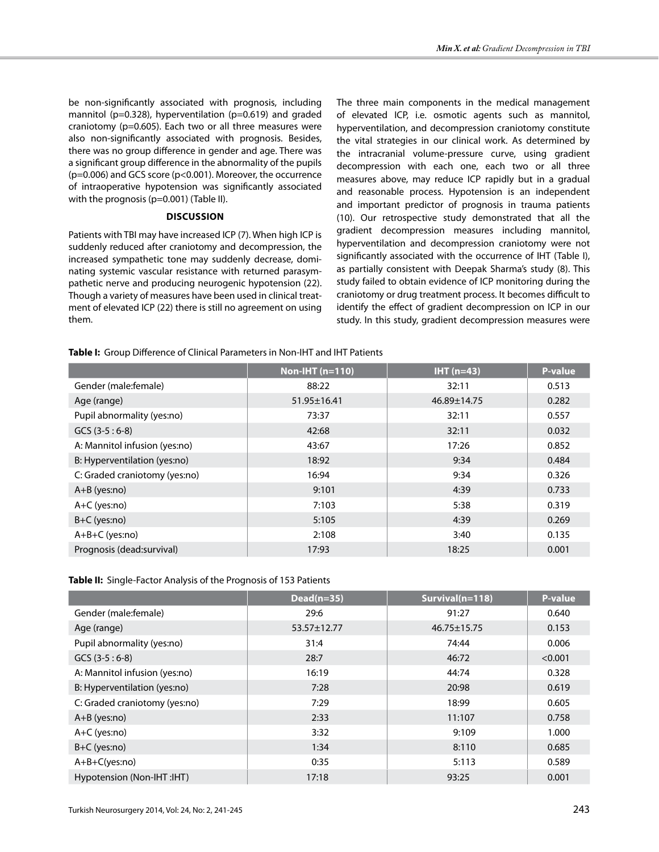be non-significantly associated with prognosis, including mannitol (p=0.328), hyperventilation (p=0.619) and graded craniotomy (p=0.605). Each two or all three measures were also non-significantly associated with prognosis. Besides, there was no group difference in gender and age. There was a significant group difference in the abnormality of the pupils (p=0.006) and GCS score (p﹤0.001). Moreover, the occurrence of intraoperative hypotension was significantly associated with the prognosis (p=0.001) (Table II).

## **Discussion**

Patients with TBI may have increased ICP (7). When high ICP is suddenly reduced after craniotomy and decompression, the increased sympathetic tone may suddenly decrease, dominating systemic vascular resistance with returned parasympathetic nerve and producing neurogenic hypotension (22). Though a variety of measures have been used in clinical treatment of elevated ICP (22) there is still no agreement on using them.

The three main components in the medical management of elevated ICP, i.e. osmotic agents such as mannitol, hyperventilation, and decompression craniotomy constitute the vital strategies in our clinical work. As determined by the intracranial volume-pressure curve, using gradient decompression with each one, each two or all three measures above, may reduce ICP rapidly but in a gradual and reasonable process. Hypotension is an independent and important predictor of prognosis in trauma patients (10). Our retrospective study demonstrated that all the gradient decompression measures including mannitol, hyperventilation and decompression craniotomy were not significantly associated with the occurrence of IHT (Table I), as partially consistent with Deepak Sharma's study (8). This study failed to obtain evidence of ICP monitoring during the craniotomy or drug treatment process. It becomes difficult to identify the effect of gradient decompression on ICP in our study. In this study, gradient decompression measures were

# **Table I:** Group Difference of Clinical Parameters in Non-IHT and IHT Patients

|                               | Non-IHT $(n=110)$ | $IHT$ (n=43) | P-value |
|-------------------------------|-------------------|--------------|---------|
| Gender (male:female)          | 88:22             | 32:11        | 0.513   |
| Age (range)                   | $51.95 \pm 16.41$ | 46.89±14.75  | 0.282   |
| Pupil abnormality (yes:no)    | 73:37             | 32:11        | 0.557   |
| $GCS (3-5:6-8)$               | 42:68             | 32:11        | 0.032   |
| A: Mannitol infusion (yes:no) | 43:67             | 17:26        | 0.852   |
| B: Hyperventilation (yes:no)  | 18:92             | 9:34         | 0.484   |
| C: Graded craniotomy (yes:no) | 16:94             | 9:34         | 0.326   |
| $A+B$ (yes:no)                | 9:101             | 4:39         | 0.733   |
| A+C (yes:no)                  | 7:103             | 5:38         | 0.319   |
| B+C (yes:no)                  | 5:105             | 4:39         | 0.269   |
| A+B+C (yes:no)                | 2:108             | 3:40         | 0.135   |
| Prognosis (dead:survival)     | 17:93             | 18:25        | 0.001   |

**Table II:** Single-Factor Analysis of the Prognosis of 153 Patients

|                               | $Dead(n=35)$      | Survival(n=118)   | P-value |
|-------------------------------|-------------------|-------------------|---------|
| Gender (male: female)         | 29:6              | 91:27             | 0.640   |
| Age (range)                   | $53.57 \pm 12.77$ | $46.75 \pm 15.75$ | 0.153   |
| Pupil abnormality (yes:no)    | 31:4              | 74:44             | 0.006   |
| $GCS (3-5:6-8)$               | 28:7              | 46:72             | < 0.001 |
| A: Mannitol infusion (yes:no) | 16:19             | 44:74             | 0.328   |
| B: Hyperventilation (yes:no)  | 7:28              | 20:98             | 0.619   |
| C: Graded craniotomy (yes:no) | 7:29              | 18:99             | 0.605   |
| A+B (yes:no)                  | 2:33              | 11:107            | 0.758   |
| $A+C$ (yes:no)                | 3:32              | 9:109             | 1.000   |
| $B+C$ (yes:no)                | 1:34              | 8:110             | 0.685   |
| $A+B+C(yes:no)$               | 0:35              | 5:113             | 0.589   |
| Hypotension (Non-IHT: IHT)    | 17:18             | 93:25             | 0.001   |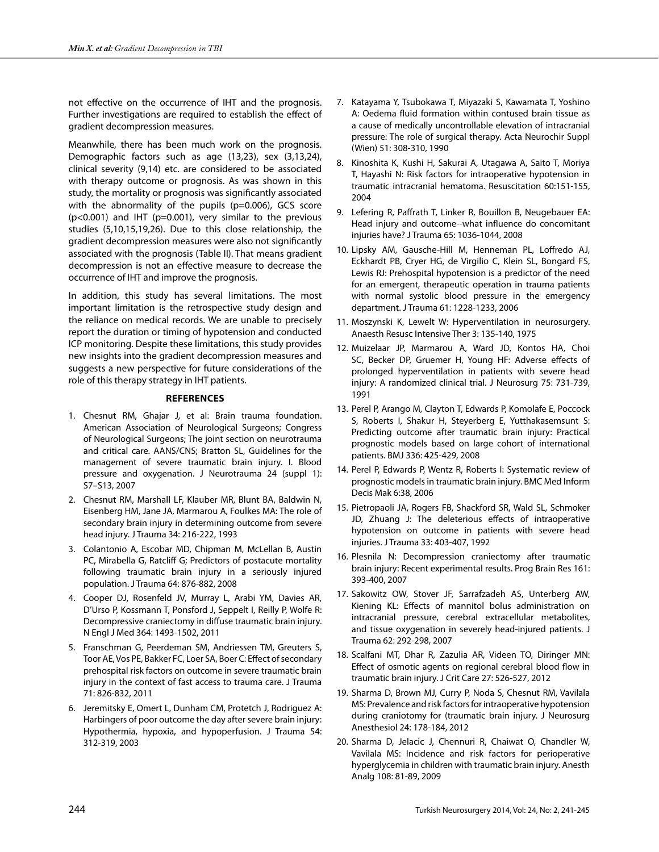not effective on the occurrence of IHT and the prognosis. Further investigations are required to establish the effect of gradient decompression measures.

Meanwhile, there has been much work on the prognosis. Demographic factors such as age (13,23), sex (3,13,24), clinical severity (9,14) etc. are considered to be associated with therapy outcome or prognosis. As was shown in this study, the mortality or prognosis was significantly associated with the abnormality of the pupils (p=0.006), GCS score  $(p<0.001)$  and IHT (p=0.001), very similar to the previous studies (5,10,15,19,26). Due to this close relationship, the gradient decompression measures were also not significantly associated with the prognosis (Table II). That means gradient decompression is not an effective measure to decrease the occurrence of IHT and improve the prognosis.

In addition, this study has several limitations. The most important limitation is the retrospective study design and the reliance on medical records. We are unable to precisely report the duration or timing of hypotension and conducted ICP monitoring. Despite these limitations, this study provides new insights into the gradient decompression measures and suggests a new perspective for future considerations of the role of this therapy strategy in IHT patients.

## **References**

- 1. Chesnut RM, Ghajar J, et al: Brain trauma foundation. American Association of Neurological Surgeons; Congress of Neurological Surgeons; The joint section on neurotrauma and critical care. AANS/CNS; Bratton SL, Guidelines for the management of severe traumatic brain injury. I. Blood pressure and oxygenation. J Neurotrauma 24 (suppl 1): S7–S13, 2007
- 2. Chesnut RM, Marshall LF, Klauber MR, Blunt BA, Baldwin N, Eisenberg HM, Jane JA, Marmarou A, Foulkes MA: The role of secondary brain injury in determining outcome from severe head injury. J Trauma 34: 216-222, 1993
- 3. Colantonio A, Escobar MD, Chipman M, McLellan B, Austin PC, Mirabella G, Ratcliff G; Predictors of postacute mortality following traumatic brain injury in a seriously injured population. J Trauma 64: 876-882, 2008
- 4. Cooper DJ, Rosenfeld JV, Murray L, Arabi YM, Davies AR, D'Urso P, Kossmann T, Ponsford J, Seppelt I, Reilly P, Wolfe R: Decompressive craniectomy in diffuse traumatic brain injury. N Engl J Med 364: 1493-1502, 2011
- 5. Franschman G, Peerdeman SM, Andriessen TM, Greuters S, Toor AE, Vos PE, Bakker FC, Loer SA, Boer C: Effect of secondary prehospital risk factors on outcome in severe traumatic brain injury in the context of fast access to trauma care. J Trauma 71: 826-832, 2011
- 6. Jeremitsky E, Omert L, Dunham CM, Protetch J, Rodriguez A: Harbingers of poor outcome the day after severe brain injury: Hypothermia, hypoxia, and hypoperfusion. J Trauma 54: 312-319, 2003
- 7. Katayama Y, Tsubokawa T, Miyazaki S, Kawamata T, Yoshino A: Oedema fluid formation within contused brain tissue as a cause of medically uncontrollable elevation of intracranial pressure: The role of surgical therapy. Acta Neurochir Suppl (Wien) 51: 308-310, 1990
- 8. Kinoshita K, Kushi H, Sakurai A, Utagawa A, Saito T, Moriya T, Hayashi N: Risk factors for intraoperative hypotension in traumatic intracranial hematoma. Resuscitation 60:151-155, 2004
- 9. Lefering R, Paffrath T, Linker R, Bouillon B, Neugebauer EA: Head injury and outcome--what influence do concomitant injuries have? J Trauma 65: 1036-1044, 2008
- 10. Lipsky AM, Gausche-Hill M, Henneman PL, Loffredo AJ, Eckhardt PB, Cryer HG, de Virgilio C, Klein SL, Bongard FS, Lewis RJ: Prehospital hypotension is a predictor of the need for an emergent, therapeutic operation in trauma patients with normal systolic blood pressure in the emergency department. J Trauma 61: 1228-1233, 2006
- 11. Moszynski K, Lewelt W: Hyperventilation in neurosurgery. Anaesth Resusc Intensive Ther 3: 135-140, 1975
- 12. Muizelaar JP, Marmarou A, Ward JD, Kontos HA, Choi SC, Becker DP, Gruemer H, Young HF: Adverse effects of prolonged hyperventilation in patients with severe head injury: A randomized clinical trial. J Neurosurg 75: 731-739, 1991
- 13. Perel P, Arango M, Clayton T, Edwards P, Komolafe E, Poccock S, Roberts I, Shakur H, Steyerberg E, Yutthakasemsunt S: Predicting outcome after traumatic brain injury: Practical prognostic models based on large cohort of international patients. BMJ 336: 425-429, 2008
- 14. Perel P, Edwards P, Wentz R, Roberts I: Systematic review of prognostic models in traumatic brain injury. BMC Med Inform Decis Mak 6:38, 2006
- 15. Pietropaoli JA, Rogers FB, Shackford SR, Wald SL, Schmoker JD, Zhuang J: The deleterious effects of intraoperative hypotension on outcome in patients with severe head injuries. J Trauma 33: 403-407, 1992
- 16. Plesnila N: Decompression craniectomy after traumatic brain injury: Recent experimental results. Prog Brain Res 161: 393-400, 2007
- 17. Sakowitz OW, Stover JF, Sarrafzadeh AS, Unterberg AW, Kiening KL: Effects of mannitol bolus administration on intracranial pressure, cerebral extracellular metabolites, and tissue oxygenation in severely head-injured patients. J Trauma 62: 292-298, 2007
- 18. Scalfani MT, Dhar R, Zazulia AR, Videen TO, Diringer MN: Effect of osmotic agents on regional cerebral blood flow in traumatic brain injury. J Crit Care 27: 526-527, 2012
- 19. Sharma D, Brown MJ, Curry P, Noda S, Chesnut RM, Vavilala MS: Prevalence and risk factors for intraoperative hypotension during craniotomy for (traumatic brain injury. J Neurosurg Anesthesiol 24: 178-184, 2012
- 20. Sharma D, Jelacic J, Chennuri R, Chaiwat O, Chandler W, Vavilala MS: Incidence and risk factors for perioperative hyperglycemia in children with traumatic brain injury. Anesth Analg 108: 81-89, 2009